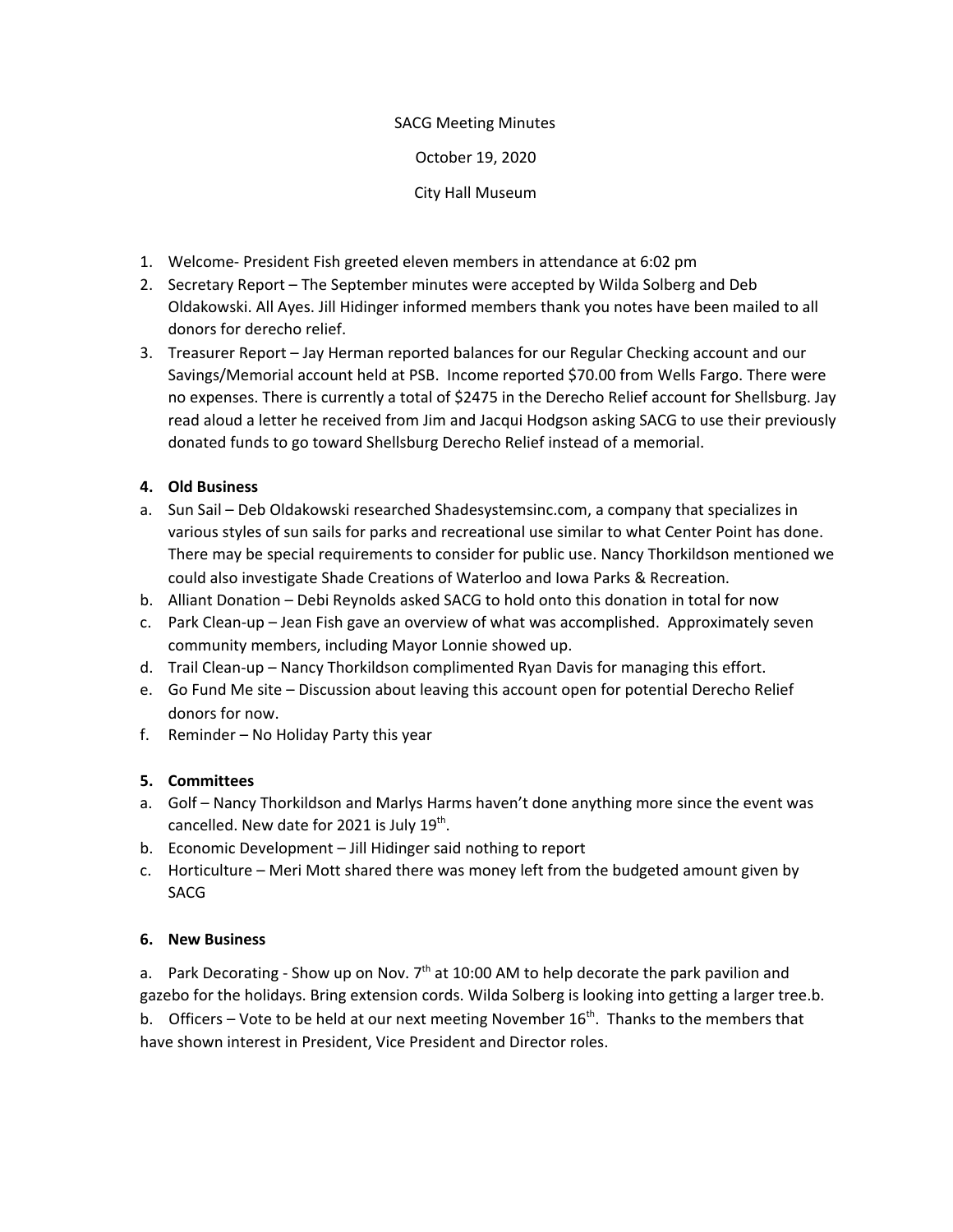## SACG Meeting Minutes

October 19, 2020

City Hall Museum

- 1. Welcome- President Fish greeted eleven members in attendance at 6:02 pm
- 2. Secretary Report The September minutes were accepted by Wilda Solberg and Deb Oldakowski. All Ayes. Jill Hidinger informed members thank you notes have been mailed to all donors for derecho relief.
- 3. Treasurer Report Jay Herman reported balances for our Regular Checking account and our Savings/Memorial account held at PSB. Income reported \$70.00 from Wells Fargo. There were no expenses. There is currently a total of \$2475 in the Derecho Relief account for Shellsburg. Jay read aloud a letter he received from Jim and Jacqui Hodgson asking SACG to use their previously donated funds to go toward Shellsburg Derecho Relief instead of a memorial.

## **4. Old Business**

- a. Sun Sail Deb Oldakowski researched Shadesystemsinc.com, a company that specializes in various styles of sun sails for parks and recreational use similar to what Center Point has done. There may be special requirements to consider for public use. Nancy Thorkildson mentioned we could also investigate Shade Creations of Waterloo and Iowa Parks & Recreation.
- b. Alliant Donation Debi Reynolds asked SACG to hold onto this donation in total for now
- c. Park Clean-up Jean Fish gave an overview of what was accomplished. Approximately seven community members, including Mayor Lonnie showed up.
- d. Trail Clean-up Nancy Thorkildson complimented Ryan Davis for managing this effort.
- e. Go Fund Me site Discussion about leaving this account open for potential Derecho Relief donors for now.
- f. Reminder No Holiday Party this year

## **5. Committees**

- a. Golf Nancy Thorkildson and Marlys Harms haven't done anything more since the event was cancelled. New date for 2021 is July  $19^{th}$ .
- b. Economic Development Jill Hidinger said nothing to report
- c. Horticulture Meri Mott shared there was money left from the budgeted amount given by SACG

## **6. New Business**

a. Park Decorating - Show up on Nov. 7<sup>th</sup> at 10:00 AM to help decorate the park pavilion and gazebo for the holidays. Bring extension cords. Wilda Solberg is looking into getting a larger tree.b. b. Officers – Vote to be held at our next meeting November 16<sup>th</sup>. Thanks to the members that

have shown interest in President, Vice President and Director roles.